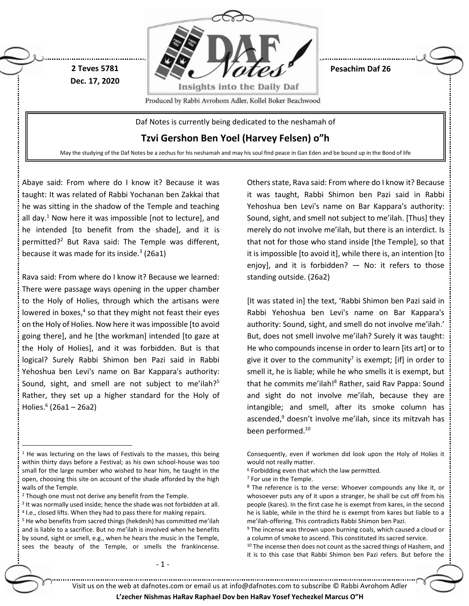

Abaye said: From where do I know it? Because it was taught: It was related of Rabbi Yochanan ben Zakkai that he was sitting in the shadow of the Temple and teaching all day.<sup>1</sup> Now here it was impossible [not to lecture], and he intended [to benefit from the shade], and it is permitted?<sup>2</sup> But Rava said: The Temple was different, because it was made for its inside.<sup>3</sup> (26a1)

Rava said: From where do I know it? Because we learned: There were passage ways opening in the upper chamber to the Holy of Holies, through which the artisans were lowered in boxes,<sup>4</sup> so that they might not feast their eyes on the Holy of Holies. Now here it was impossible [to avoid going there], and he [the workman] intended [to gaze at the Holy of Holies], and it was forbidden. But is that logical? Surely Rabbi Shimon ben Pazi said in Rabbi Yehoshua ben Levi's name on Bar Kappara's authority: Sound, sight, and smell are not subject to me'ilah?<sup>5</sup> Rather, they set up a higher standard for the Holy of Holies.<sup>6</sup> (26a1 – 26a2)

 $\overline{a}$ 

4 I.e., closed lifts. When they had to pass there for making repairs. <sup>5</sup> He who benefits from sacred things (hekdesh) has committed me'ilah and is liable to a sacrifice. But no me'ilah is involved when he benefits by sound, sight or smell, e.g., when he hears the music in the Temple, sees the beauty of the Temple, or smells the frankincense. Others state, Rava said: From where do I know it? Because it was taught, Rabbi Shimon ben Pazi said in Rabbi Yehoshua ben Levi's name on Bar Kappara's authority: Sound, sight, and smell not subject to me'ilah. [Thus] they merely do not involve me'ilah, but there is an interdict. Is that not for those who stand inside [the Temple], so that it is impossible [to avoid it], while there is, an intention [to enjoy], and it is forbidden? — No: it refers to those standing outside. (26a2)

[It was stated in] the text, 'Rabbi Shimon ben Pazi said in Rabbi Yehoshua ben Levi's name on Bar Kappara's authority: Sound, sight, and smell do not involve me'ilah.' But, does not smell involve me'ilah? Surely it was taught: He who compounds incense in order to learn [its art] or to give it over to the community<sup>7</sup> is exempt; [if] in order to smell it, he is liable; while he who smells it is exempt, but that he commits me'ilah!<sup>8</sup> Rather, said Rav Pappa: Sound and sight do not involve me'ilah, because they are intangible; and smell, after its smoke column has ascended,<sup>9</sup> doesn't involve me'ilah, since its mitzvah has been performed.<sup>10</sup>

<sup>10</sup> The incense then does not count as the sacred things of Hashem, and it is to this case that Rabbi Shimon ben Pazi refers. But before the

- 1 -

 $1$  He was lecturing on the laws of Festivals to the masses, this being within thirty days before a Festival; as his own school-house was too small for the large number who wished to hear him, he taught in the open, choosing this site on account of the shade afforded by the high walls of the Temple.

<sup>&</sup>lt;sup>2</sup> Though one must not derive any benefit from the Temple.

<sup>&</sup>lt;sup>3</sup> It was normally used inside; hence the shade was not forbidden at all.

Consequently, even if workmen did look upon the Holy of Holies it would not really matter.

 $6$  Forbidding even that which the law permitted.

<sup>7</sup> For use in the Temple.

<sup>&</sup>lt;sup>8</sup> The reference is to the verse: Whoever compounds any like it, or whosoever puts any of it upon a stranger, he shall be cut off from his people (kares). In the first case he is exempt from kares, in the second he is liable, while in the third he is exempt from kares but liable to a me'ilah-offering. This contradicts Rabbi Shimon ben Pazi.

<sup>&</sup>lt;sup>9</sup> The incense was thrown upon burning coals, which caused a cloud or a column of smoke to ascend. This constituted its sacred service.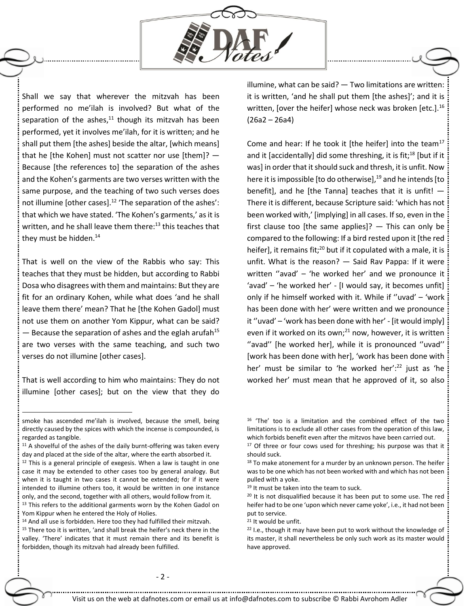

Shall we say that wherever the mitzvah has been performed no me'ilah is involved? But what of the separation of the ashes, $11$  though its mitzvah has been performed, yet it involves me'ilah, for it is written; and he shall put them [the ashes] beside the altar, [which means] that he [the Kohen] must not scatter nor use [them]? — Because [the references to] the separation of the ashes and the Kohen's garments are two verses written with the same purpose, and the teaching of two such verses does not illumine [other cases].<sup>12</sup> 'The separation of the ashes': that which we have stated. 'The Kohen's garments,' as it is written, and he shall leave them there: $^{13}$  this teaches that they must be hidden. $14$ 

That is well on the view of the Rabbis who say: This teaches that they must be hidden, but according to Rabbi Dosa who disagrees with them and maintains: But they are fit for an ordinary Kohen, while what does 'and he shall leave them there' mean? That he [the Kohen Gadol] must not use them on another Yom Kippur, what can be said?  $-$  Because the separation of ashes and the eglah arufah<sup>15</sup> are two verses with the same teaching, and such two verses do not illumine [other cases].

That is well according to him who maintains: They do not illumine [other cases]; but on the view that they do

 $\overline{a}$ 

illumine, what can be said? — Two limitations are written: it is written, 'and he shall put them [the ashes]'; and it is written, [over the heifer] whose neck was broken [etc.]. $^{16}$ (26a2 – 26a4)

Come and hear: If he took it [the heifer] into the team<sup>17</sup> and it [accidentally] did some threshing, it is fit;<sup>18</sup> [but if it was] in order that it should suck and thresh, it is unfit. Now here it is impossible [to do otherwise], $^{19}$  and he intends [to benefit], and he [the Tanna] teaches that it is unfit! — There it is different, because Scripture said: 'which has not been worked with,' [implying] in all cases. If so, even in the first clause too [the same applies]?  $-$  This can only be compared to the following: If a bird rested upon it [the red heifer], it remains fit;<sup>20</sup> but if it copulated with a male, it is unfit. What is the reason? — Said Rav Pappa: If it were written ''avad' – 'he worked her' and we pronounce it 'avad' – 'he worked her' - [I would say, it becomes unfit] only if he himself worked with it. While if ''uvad' – 'work has been done with her' were written and we pronounce it ''uvad' – 'work has been done with her' - [it would imply] even if it worked on its own; $^{21}$  now, however, it is written ''avad'' [he worked her], while it is pronounced ''uvad'' [work has been done with her], 'work has been done with her' must be similar to 'he worked her':<sup>22</sup> just as 'he worked her' must mean that he approved of it, so also

<sup>21</sup> It would be unfit.

smoke has ascended me'ilah is involved, because the smell, being directly caused by the spices with which the incense is compounded, is regarded as tangible.

 $11$  A shovelful of the ashes of the daily burnt-offering was taken every day and placed at the side of the altar, where the earth absorbed it.

 $12$  This is a general principle of exegesis. When a law is taught in one case it may be extended to other cases too by general analogy. But when it is taught in two cases it cannot be extended; for if it were intended to illumine others too, it would be written in one instance only, and the second, together with all others, would follow from it.

<sup>&</sup>lt;sup>13</sup> This refers to the additional garments worn by the Kohen Gadol on Yom Kippur when he entered the Holy of Holies.

<sup>&</sup>lt;sup>14</sup> And all use is forbidden. Here too they had fulfilled their mitzvah.

<sup>&</sup>lt;sup>15</sup> There too it is written, 'and shall break the heifer's neck there in the valley. 'There' indicates that it must remain there and its benefit is forbidden, though its mitzvah had already been fulfilled.

<sup>16</sup> 'The' too is a limitation and the combined effect of the two limitations is to exclude all other cases from the operation of this law, which forbids benefit even after the mitzvos have been carried out.

<sup>&</sup>lt;sup>17</sup> Of three or four cows used for threshing; his purpose was that it should suck.

 $18$  To make atonement for a murder by an unknown person. The heifer was to be one which has not been worked with and which has not been pulled with a yoke.

<sup>&</sup>lt;sup>19</sup> It must be taken into the team to suck.

<sup>&</sup>lt;sup>20</sup> It is not disqualified because it has been put to some use. The red heifer had to be one 'upon which never came yoke', i.e., it had not been put to service.

<sup>&</sup>lt;sup>22</sup> I.e., though it may have been put to work without the knowledge of its master, it shall nevertheless be only such work as its master would have approved.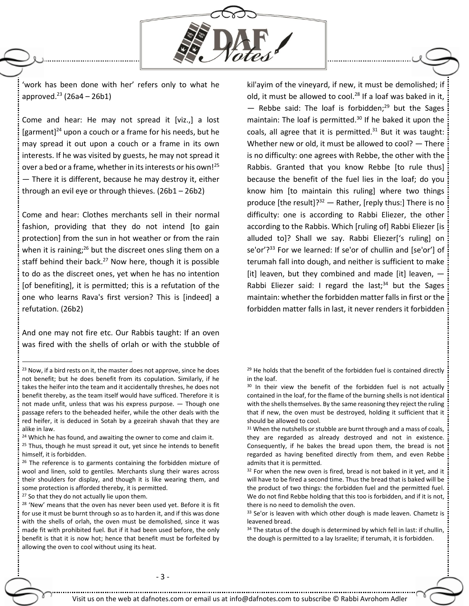

'work has been done with her' refers only to what he approved. $^{23}$  (26a4 – 26b1)

Come and hear: He may not spread it [viz.,] a lost [garment] <sup>24</sup> upon a couch or a frame for his needs, but he may spread it out upon a couch or a frame in its own interests. If he was visited by guests, he may not spread it over a bed or a frame, whether in its interests or his own!<sup>25</sup> — There it is different, because he may destroy it, either through an evil eye or through thieves. (26b1 – 26b2)

Come and hear: Clothes merchants sell in their normal fashion, providing that they do not intend [to gain protection] from the sun in hot weather or from the rain when it is raining; $^{26}$  but the discreet ones sling them on a staff behind their back. $^{27}$  Now here, though it is possible to do as the discreet ones, yet when he has no intention [of benefiting], it is permitted; this is a refutation of the one who learns Rava's first version? This is [indeed] a refutation. (26b2)

And one may not fire etc. Our Rabbis taught: If an oven was fired with the shells of orlah or with the stubble of

 $\ddot{\phantom{a}}$ 

kil'ayim of the vineyard, if new, it must be demolished; if old, it must be allowed to cool.<sup>28</sup> If a loaf was baked in it,  $-$  Rebbe said: The loaf is forbidden;<sup>29</sup> but the Sages maintain: The loaf is permitted. $30$  If he baked it upon the coals, all agree that it is permitted. $31$  But it was taught: Whether new or old, it must be allowed to cool? — There is no difficulty: one agrees with Rebbe, the other with the Rabbis. Granted that you know Rebbe [to rule thus] because the benefit of the fuel lies in the loaf; do you know him [to maintain this ruling] where two things produce [the result]? $32 -$  Rather, [reply thus:] There is no difficulty: one is according to Rabbi Eliezer, the other according to the Rabbis. Which [ruling of] Rabbi Eliezer [is alluded to]? Shall we say. Rabbi Eliezer['s ruling] on se'or'?<sup>33</sup> For we learned: If se'or of chullin and [se'or'] of terumah fall into dough, and neither is sufficient to make [it] leaven, but they combined and made [it] leaven, -Rabbi Eliezer said: I regard the last; $34$  but the Sages maintain: whether the forbidden matter falls in first or the forbidden matter falls in last, it never renders it forbidden

<sup>&</sup>lt;sup>23</sup> Now, if a bird rests on it, the master does not approve, since he does not benefit; but he does benefit from its copulation. Similarly, if he takes the heifer into the team and it accidentally threshes, he does not benefit thereby, as the team itself would have sufficed. Therefore it is not made unfit, unless that was his express purpose. — Though one passage refers to the beheaded heifer, while the other deals with the red heifer, it is deduced in Sotah by a gezeirah shavah that they are alike in law.

<sup>&</sup>lt;sup>24</sup> Which he has found, and awaiting the owner to come and claim it.

 $25$  Thus, though he must spread it out, yet since he intends to benefit himself, it is forbidden.

 $26$  The reference is to garments containing the forbidden mixture of wool and linen, sold to gentiles. Merchants slung their wares across their shoulders for display, and though it is like wearing them, and some protection is afforded thereby, it is permitted.

<sup>&</sup>lt;sup>27</sup> So that they do not actually lie upon them.

<sup>&</sup>lt;sup>28</sup> 'New' means that the oven has never been used yet. Before it is fit for use it must be burnt through so as to harden it, and if this was done with the shells of orlah, the oven must be demolished, since it was made fit with prohibited fuel. But if it had been used before, the only benefit is that it is now hot; hence that benefit must be forfeited by allowing the oven to cool without using its heat.

<sup>&</sup>lt;sup>29</sup> He holds that the benefit of the forbidden fuel is contained directly in the loaf.

<sup>&</sup>lt;sup>30</sup> In their view the benefit of the forbidden fuel is not actually contained in the loaf, for the flame of the burning shells is not identical with the shells themselves. By the same reasoning they reject the ruling that if new, the oven must be destroyed, holding it sufficient that it should be allowed to cool.

<sup>&</sup>lt;sup>31</sup> When the nutshells or stubble are burnt through and a mass of coals, they are regarded as already destroyed and not in existence. Consequently, if he bakes the bread upon them, the bread is not regarded as having benefited directly from them, and even Rebbe admits that it is permitted.

<sup>&</sup>lt;sup>32</sup> For when the new oven is fired, bread is not baked in it yet, and it will have to be fired a second time. Thus the bread that is baked will be the product of two things: the forbidden fuel and the permitted fuel. We do not find Rebbe holding that this too is forbidden, and if it is not, there is no need to demolish the oven.

<sup>&</sup>lt;sup>33</sup> Se'or is leaven with which other dough is made leaven. Chametz is leavened bread.

<sup>34</sup> The status of the dough is determined by which fell in last: if chullin, the dough is permitted to a lay Israelite; if terumah, it is forbidden.